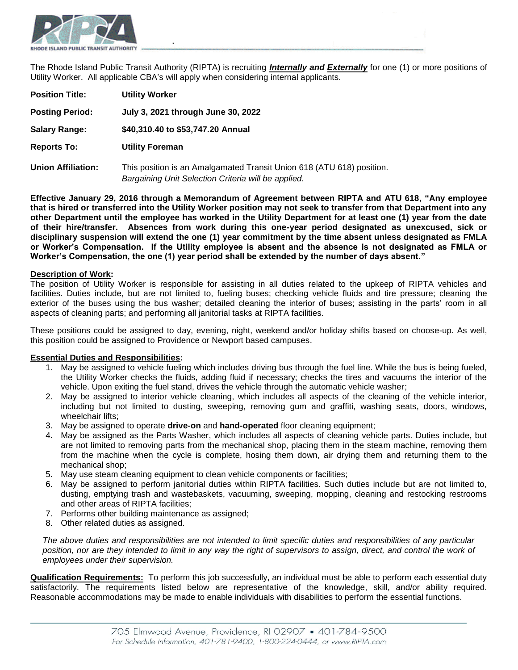

The Rhode Island Public Transit Authority (RIPTA) is recruiting *Internally and Externally* for one (1) or more positions of Utility Worker. All applicable CBA's will apply when considering internal applicants.

| <b>Position Title:</b>    | <b>Utility Worker</b>                                                                                                        |
|---------------------------|------------------------------------------------------------------------------------------------------------------------------|
| <b>Posting Period:</b>    | July 3, 2021 through June 30, 2022                                                                                           |
| <b>Salary Range:</b>      | \$40,310.40 to \$53,747.20 Annual                                                                                            |
| <b>Reports To:</b>        | <b>Utility Foreman</b>                                                                                                       |
| <b>Union Affiliation:</b> | This position is an Amalgamated Transit Union 618 (ATU 618) position.<br>Bargaining Unit Selection Criteria will be applied. |

**Effective January 29, 2016 through a Memorandum of Agreement between RIPTA and ATU 618, "Any employee that is hired or transferred into the Utility Worker position may not seek to transfer from that Department into any other Department until the employee has worked in the Utility Department for at least one (1) year from the date of their hire/transfer. Absences from work during this one-year period designated as unexcused, sick or disciplinary suspension will extend the one (1) year commitment by the time absent unless designated as FMLA or Worker's Compensation. If the Utility employee is absent and the absence is not designated as FMLA or Worker's Compensation, the one (1) year period shall be extended by the number of days absent."**

#### **Description of Work:**

The position of Utility Worker is responsible for assisting in all duties related to the upkeep of RIPTA vehicles and facilities. Duties include, but are not limited to, fueling buses; checking vehicle fluids and tire pressure; cleaning the exterior of the buses using the bus washer; detailed cleaning the interior of buses; assisting in the parts' room in all aspects of cleaning parts; and performing all janitorial tasks at RIPTA facilities.

These positions could be assigned to day, evening, night, weekend and/or holiday shifts based on choose-up. As well, this position could be assigned to Providence or Newport based campuses.

#### **Essential Duties and Responsibilities:**

- 1. May be assigned to vehicle fueling which includes driving bus through the fuel line. While the bus is being fueled, the Utility Worker checks the fluids, adding fluid if necessary; checks the tires and vacuums the interior of the vehicle. Upon exiting the fuel stand, drives the vehicle through the automatic vehicle washer;
- 2. May be assigned to interior vehicle cleaning, which includes all aspects of the cleaning of the vehicle interior, including but not limited to dusting, sweeping, removing gum and graffiti, washing seats, doors, windows, wheelchair lifts;
- 3. May be assigned to operate **drive-on** and **hand-operated** floor cleaning equipment;
- 4. May be assigned as the Parts Washer, which includes all aspects of cleaning vehicle parts. Duties include, but are not limited to removing parts from the mechanical shop, placing them in the steam machine, removing them from the machine when the cycle is complete, hosing them down, air drying them and returning them to the mechanical shop;
- 5. May use steam cleaning equipment to clean vehicle components or facilities;
- 6. May be assigned to perform janitorial duties within RIPTA facilities. Such duties include but are not limited to, dusting, emptying trash and wastebaskets, vacuuming, sweeping, mopping, cleaning and restocking restrooms and other areas of RIPTA facilities;
- 7. Performs other building maintenance as assigned;
- 8. Other related duties as assigned.

*The above duties and responsibilities are not intended to limit specific duties and responsibilities of any particular*  position, nor are they intended to limit in any way the right of supervisors to assign, direct, and control the work of *employees under their supervision.* 

**Qualification Requirements:** To perform this job successfully, an individual must be able to perform each essential duty satisfactorily. The requirements listed below are representative of the knowledge, skill, and/or ability required. Reasonable accommodations may be made to enable individuals with disabilities to perform the essential functions.